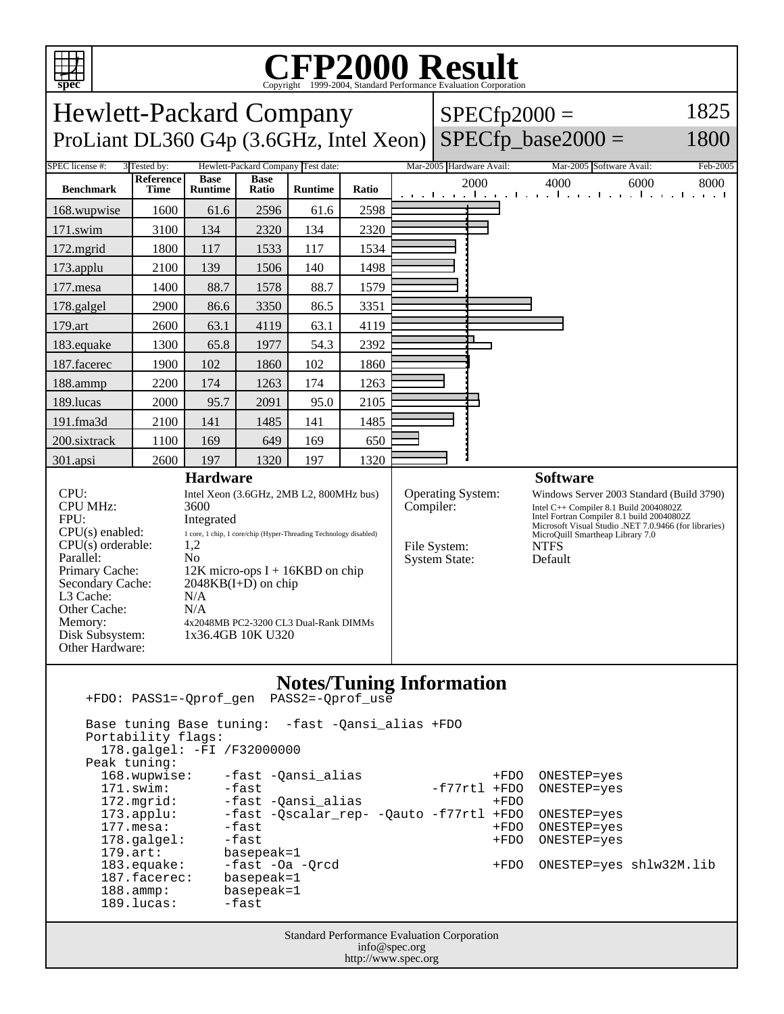

## Copyright ©1999-2004, Standard Performance Evaluation Corporation

| 1825<br><b>Hewlett-Packard Company</b><br>$SPECfp2000 =$<br>$SPECfp\_base2000 =$<br>ProLiant DL360 G4p (3.6GHz, Intel Xeon)<br>1800                                                                        |                                 |                                                                                                                                                                                                                                                                                                                          |                      |                |       |      |                                                   |                          |                                                                                                                                                                                                                                                                             |          |
|------------------------------------------------------------------------------------------------------------------------------------------------------------------------------------------------------------|---------------------------------|--------------------------------------------------------------------------------------------------------------------------------------------------------------------------------------------------------------------------------------------------------------------------------------------------------------------------|----------------------|----------------|-------|------|---------------------------------------------------|--------------------------|-----------------------------------------------------------------------------------------------------------------------------------------------------------------------------------------------------------------------------------------------------------------------------|----------|
| SPEC license #:<br>Hewlett-Packard Company Test date:<br>3 Tested by:                                                                                                                                      |                                 |                                                                                                                                                                                                                                                                                                                          |                      |                |       |      |                                                   | Mar-2005 Hardware Avail: | Mar-2005 Software Avail:                                                                                                                                                                                                                                                    | Feb-2005 |
| <b>Benchmark</b>                                                                                                                                                                                           | <b>Reference</b><br><b>Time</b> | <b>Base</b><br><b>Runtime</b>                                                                                                                                                                                                                                                                                            | <b>Base</b><br>Ratio | <b>Runtime</b> | Ratio | 2000 |                                                   |                          | 4000<br>6000<br>المتوجا وتوجا وتوجا وتوجا وتوجا وتوجا وتوجا وتو                                                                                                                                                                                                             | 8000     |
| 168.wupwise                                                                                                                                                                                                | 1600                            | 61.6                                                                                                                                                                                                                                                                                                                     | 2596                 | 61.6           | 2598  |      |                                                   |                          |                                                                                                                                                                                                                                                                             |          |
| 171.swim                                                                                                                                                                                                   | 3100                            | 134                                                                                                                                                                                                                                                                                                                      | 2320                 | 134            | 2320  |      |                                                   |                          |                                                                                                                                                                                                                                                                             |          |
| 172.mgrid                                                                                                                                                                                                  | 1800                            | 117                                                                                                                                                                                                                                                                                                                      | 1533                 | 117            | 1534  |      |                                                   |                          |                                                                                                                                                                                                                                                                             |          |
| 173.applu                                                                                                                                                                                                  | 2100                            | 139                                                                                                                                                                                                                                                                                                                      | 1506                 | 140            | 1498  |      |                                                   |                          |                                                                                                                                                                                                                                                                             |          |
| 177.mesa                                                                                                                                                                                                   | 1400                            | 88.7                                                                                                                                                                                                                                                                                                                     | 1578                 | 88.7           | 1579  |      |                                                   |                          |                                                                                                                                                                                                                                                                             |          |
| 178.galgel                                                                                                                                                                                                 | 2900                            | 86.6                                                                                                                                                                                                                                                                                                                     | 3350                 | 86.5           | 3351  |      |                                                   |                          |                                                                                                                                                                                                                                                                             |          |
| 179.art                                                                                                                                                                                                    | 2600                            | 63.1                                                                                                                                                                                                                                                                                                                     | 4119                 | 63.1           | 4119  |      |                                                   |                          |                                                                                                                                                                                                                                                                             |          |
| 183.equake                                                                                                                                                                                                 | 1300                            | 65.8                                                                                                                                                                                                                                                                                                                     | 1977                 | 54.3           | 2392  |      |                                                   |                          |                                                                                                                                                                                                                                                                             |          |
| 187.facerec                                                                                                                                                                                                | 1900                            | 102                                                                                                                                                                                                                                                                                                                      | 1860                 | 102            | 1860  |      |                                                   |                          |                                                                                                                                                                                                                                                                             |          |
| 188.ammp                                                                                                                                                                                                   | 2200                            | 174                                                                                                                                                                                                                                                                                                                      | 1263                 | 174            | 1263  |      |                                                   |                          |                                                                                                                                                                                                                                                                             |          |
| 189.lucas                                                                                                                                                                                                  | 2000                            | 95.7                                                                                                                                                                                                                                                                                                                     | 2091                 | 95.0           | 2105  |      |                                                   |                          |                                                                                                                                                                                                                                                                             |          |
| 191.fma3d                                                                                                                                                                                                  | 2100                            | 141                                                                                                                                                                                                                                                                                                                      | 1485                 | 141            | 1485  |      |                                                   |                          |                                                                                                                                                                                                                                                                             |          |
| 200.sixtrack                                                                                                                                                                                               | 1100                            | 169                                                                                                                                                                                                                                                                                                                      | 649                  | 169            | 650   |      |                                                   |                          |                                                                                                                                                                                                                                                                             |          |
| 301.apsi                                                                                                                                                                                                   | 2600                            | 197                                                                                                                                                                                                                                                                                                                      | 1320                 | 197            | 1320  |      |                                                   |                          |                                                                                                                                                                                                                                                                             |          |
| CPU:<br><b>CPU MHz:</b><br>FPU:<br>CPU(s) enabled:<br>$CPU(s)$ orderable:<br>Parallel:<br>Primary Cache:<br>Secondary Cache:<br>L3 Cache:<br>Other Cache:<br>Memory:<br>Disk Subsystem:<br>Other Hardware: |                                 | <b>Hardware</b><br>Intel Xeon (3.6GHz, 2MB L2, 800MHz bus)<br>3600<br>Integrated<br>1 core, 1 chip, 1 core/chip (Hyper-Threading Technology disabled)<br>1,2<br>N <sub>0</sub><br>$12K$ micro-ops I + 16KBD on chip<br>$2048KB(I+D)$ on chip<br>N/A<br>N/A<br>4x2048MB PC2-3200 CL3 Dual-Rank DIMMs<br>1x36.4GB 10K U320 |                      |                |       |      | Compiler:<br>File System:<br><b>System State:</b> | Operating System:        | <b>Software</b><br>Windows Server 2003 Standard (Build 3790)<br>Intel C++ Compiler 8.1 Build 20040802Z<br>Intel Fortran Compiler 8.1 build 20040802Z<br>Microsoft Visual Studio .NET 7.0.9466 (for libraries)<br>MicroQuill Smartheap Library 7.0<br><b>NTFS</b><br>Default |          |
| <b>Notes/Tuning Information</b><br>PASS2=-Qprof_use<br>+FDO: PASS1=-Qprof_gen<br>Base tuning Base tuning:<br>-fast -Qansi_alias +FDO<br>$D(x + ah)$ ; $i + y$ , $f \circ g g$ ;                            |                                 |                                                                                                                                                                                                                                                                                                                          |                      |                |       |      |                                                   |                          |                                                                                                                                                                                                                                                                             |          |

 Portability flags: 178.galgel: -FI /F32000000 Peak tuning: 168.wupwise: -fast -Qansi\_alias +FDO ONESTEP=yes<br>171.swim: -fast -Qansi\_alias -f77rtl +FDO ONESTEP=yes 171.swim: -fast -gansi\_alias -f77rtl +FDO ONESTEP=yes<br>172.mgrid: -fast -gansi\_alias -f<sup>77</sup>rtl +FDO -fast -Qansi\_alias 173.applu: -fast -Qscalar\_rep- -Qauto -f77rtl +FDO ONESTEP=yes<br>177.mesa: -fast -Qscalar\_rep- -Qauto -f77rtl +FDO ONESTEP=yes 177.mesa: -fast +FDO ONESTEP=yes 178.galgel: -fast -fast +FDO ONESTEP=yes<br>179.art: basepeak=1 179.art: basepeak=1<br>183.equake: -fast -Oa -Qrcd -fast -Oa -Qrcd +FDO ONESTEP=yes shlw32M.lib<br>basepeak=1  $187.\texttt{facerez}$ : 188.ammp: basepeak=1<br>189.lucas: -fast  $189.$ lucas:

> Standard Performance Evaluation Corporation info@spec.org http://www.spec.org